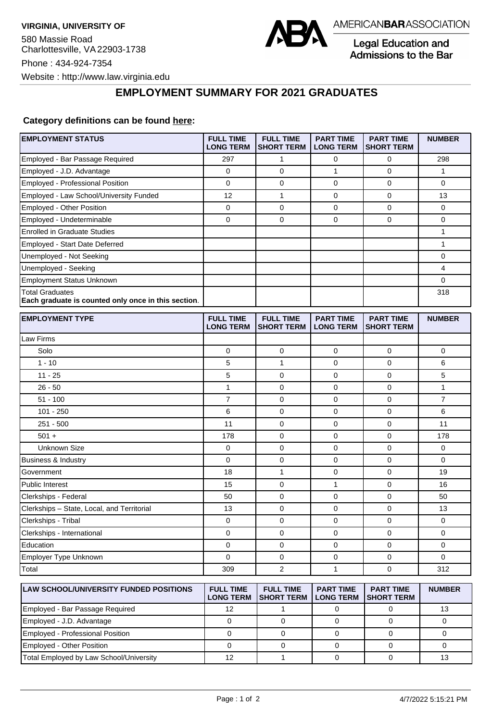

Legal Education and Admissions to the Bar

## **EMPLOYMENT SUMMARY FOR 2021 GRADUATES**

## **Category definitions can be found [here:](https://www.americanbar.org/content/dam/aba/administrative/legal_education_and_admissions_to_the_bar/Questionnaires/2021/2022-employment-protocols-for-the-class-of-2021-september-2021.pdf)**

| <b>EMPLOYMENT STATUS</b>                                                      | <b>FULL TIME</b><br><b>LONG TERM</b> | <b>FULL TIME</b><br><b>SHORT TERM</b> | <b>PART TIME</b><br><b>LONG TERM</b> | <b>PART TIME</b><br><b>SHORT TERM</b> | <b>NUMBER</b>  |
|-------------------------------------------------------------------------------|--------------------------------------|---------------------------------------|--------------------------------------|---------------------------------------|----------------|
| Employed - Bar Passage Required                                               | 297                                  | 1                                     | 0                                    | 0                                     | 298            |
| Employed - J.D. Advantage                                                     | 0                                    | $\mathbf 0$                           | 1                                    | $\mathbf 0$                           | $\mathbf{1}$   |
| Employed - Professional Position                                              | 0                                    | $\mathbf 0$                           | 0                                    | $\mathbf 0$                           | 0              |
| Employed - Law School/University Funded                                       | 12                                   | $\mathbf{1}$                          | 0                                    | 0                                     | 13             |
| Employed - Other Position                                                     | 0                                    | $\mathbf 0$                           | 0                                    | $\mathbf 0$                           | 0              |
| Employed - Undeterminable                                                     | 0                                    | 0                                     | 0                                    | 0                                     | 0              |
| <b>Enrolled in Graduate Studies</b>                                           |                                      |                                       |                                      |                                       | 1              |
| Employed - Start Date Deferred                                                |                                      |                                       |                                      |                                       | $\mathbf{1}$   |
| Unemployed - Not Seeking                                                      |                                      |                                       |                                      |                                       | 0              |
| Unemployed - Seeking                                                          |                                      |                                       |                                      |                                       | 4              |
| <b>Employment Status Unknown</b>                                              |                                      |                                       |                                      |                                       | 0              |
| <b>Total Graduates</b><br>Each graduate is counted only once in this section. |                                      |                                       |                                      |                                       | 318            |
| <b>EMPLOYMENT TYPE</b>                                                        | <b>FULL TIME</b><br><b>LONG TERM</b> | <b>FULL TIME</b><br><b>SHORT TERM</b> | <b>PART TIME</b><br><b>LONG TERM</b> | <b>PART TIME</b><br><b>SHORT TERM</b> | <b>NUMBER</b>  |
| Law Firms                                                                     |                                      |                                       |                                      |                                       |                |
| Solo                                                                          | 0                                    | 0                                     | 0                                    | 0                                     | 0              |
| $1 - 10$                                                                      | 5                                    | $\mathbf{1}$                          | 0                                    | 0                                     | 6              |
| $11 - 25$                                                                     | 5                                    | 0                                     | 0                                    | 0                                     | 5              |
| $26 - 50$                                                                     | 1                                    | $\mathbf 0$                           | 0                                    | $\mathbf 0$                           | 1              |
| $51 - 100$                                                                    | 7                                    | $\mathbf 0$                           | 0                                    | $\mathbf 0$                           | $\overline{7}$ |
| $101 - 250$                                                                   | 6                                    | 0                                     | 0                                    | 0                                     | 6              |
| $251 - 500$                                                                   | 11                                   | 0                                     | 0                                    | 0                                     | 11             |
| $501 +$                                                                       | 178                                  | 0                                     | 0                                    | $\mathbf 0$                           | 178            |
| Unknown Size                                                                  | 0                                    | $\mathbf 0$                           | 0                                    | $\mathbf 0$                           | 0              |
| <b>Business &amp; Industry</b>                                                | 0                                    | 0                                     | 0                                    | $\mathbf 0$                           | 0              |
| Government                                                                    | 18                                   | $\mathbf{1}$                          | 0                                    | 0                                     | 19             |
| <b>Public Interest</b>                                                        | 15                                   | 0                                     | 1                                    | 0                                     | 16             |
| Clerkships - Federal                                                          | 50                                   | $\mathbf 0$                           | 0                                    | $\mathbf 0$                           | 50             |
| Clerkships - State, Local, and Territorial                                    | 13                                   | 0                                     | 0                                    | $\mathbf 0$                           | 13             |
| Clerkships - Tribal                                                           | 0                                    | 0                                     | 0                                    | 0                                     | 0              |
| Clerkships - International                                                    | 0                                    | $\mathbf 0$                           | 0                                    | $\mathbf 0$                           | 0              |
| Education                                                                     | 0                                    | 0                                     | 0                                    | 0                                     | 0              |
| Employer Type Unknown                                                         | 0                                    | 0                                     | 0                                    | 0                                     | 0              |
| Total                                                                         | 309                                  | $\overline{c}$                        | 1                                    | 0                                     | 312            |
| <b>LAW SCHOOL/UNIVERSITY FUNDED POSITIONS</b>                                 | <b>FULL TIME</b><br><b>LONG TERM</b> | <b>FULL TIME</b><br><b>SHORT TERM</b> | <b>PART TIME</b><br><b>LONG TERM</b> | <b>PART TIME</b><br><b>SHORT TERM</b> | <b>NUMBER</b>  |
| Employed - Bar Passane Required                                               | 12                                   | $\overline{1}$                        | $\Omega$                             | $\Omega$                              | 13             |